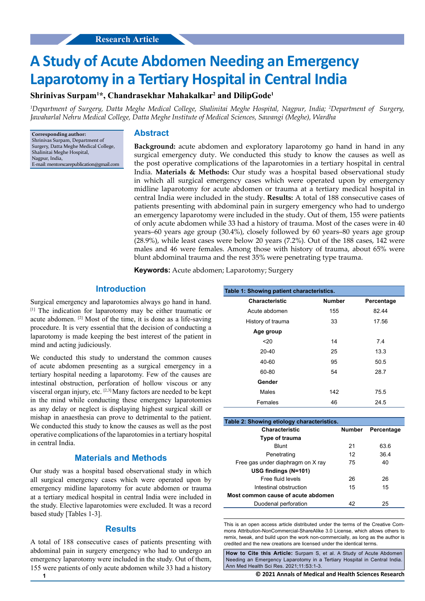# **A Study of Acute Abdomen Needing an Emergency Laparotomy in a Tertiary Hospital in Central India**

# **Shrinivas Surpam1 \*, Chandrasekhar Mahakalkar2 and DilipGode1**

*1 Department of Surgery, Datta Meghe Medical College, Shalinitai Meghe Hospital, Nagpur, India; 2 Department of Surgery, Jawaharlal Nehru Medical College, Datta Meghe Institute of Medical Sciences, Sawangi (Meghe), Wardha*

**Corresponding author:** Shrinivas Surpam, Department of Surgery, Datta Meghe Medical College, Shalinitai Meghe Hospital, Nagpur, India, E-mail: mentorscarepublication@gmail.com

## **Abstract**

**Background:** acute abdomen and exploratory laparotomy go hand in hand in any surgical emergency duty. We conducted this study to know the causes as well as the post operative complications of the laparotomies in a tertiary hospital in central India. **Materials & Methods:** Our study was a hospital based observational study in which all surgical emergency cases which were operated upon by emergency midline laparotomy for acute abdomen or trauma at a tertiary medical hospital in central India were included in the study. **Results:** A total of 188 consecutive cases of patients presenting with abdominal pain in surgery emergency who had to undergo an emergency laparotomy were included in the study. Out of them, 155 were patients of only acute abdomen while 33 had a history of trauma. Most of the cases were in 40 years–60 years age group (30.4%), closely followed by 60 years–80 years age group (28.9%), while least cases were below 20 years (7.2%). Out of the 188 cases, 142 were males and 46 were females. Among those with history of trauma, about 65% were blunt abdominal trauma and the rest 35% were penetrating type trauma.

**Keywords:** Acute abdomen; Laparotomy; Surgery

### **Introduction**

Surgical emergency and laparotomies always go hand in hand. [1] The indication for laparotomy may be either traumatic or acute abdomen. [2] Most of the time, it is done as a life-saving procedure. It is very essential that the decision of conducting a laparotomy is made keeping the best interest of the patient in mind and acting judiciously.

We conducted this study to understand the common causes of acute abdomen presenting as a surgical emergency in a tertiary hospital needing a laparotomy. Few of the causes are intestinal obstruction, perforation of hollow viscous or any visceral organ injury, etc. [2,3] Many factors are needed to be kept in the mind while conducting these emergency laparotomies as any delay or neglect is displaying highest surgical skill or mishap in anaesthesia can prove to detrimental to the patient. We conducted this study to know the causes as well as the post operative complications of the laparotomies in a tertiary hospital in central India.

# **Materials and Methods**

Our study was a hospital based observational study in which all surgical emergency cases which were operated upon by emergency midline laparotomy for acute abdomen or trauma at a tertiary medical hospital in central India were included in the study. Elective laparotomies were excluded. It was a record based study [Tables 1-3].

## **Results**

A total of 188 consecutive cases of patients presenting with abdominal pain in surgery emergency who had to undergo an emergency laparotomy were included in the study. Out of them, 155 were patients of only acute abdomen while 33 had a history

| Table 1: Showing patient characteristics. |               |            |  |  |
|-------------------------------------------|---------------|------------|--|--|
| Characteristic                            | <b>Number</b> | Percentage |  |  |
| Acute abdomen                             | 155           | 82.44      |  |  |
| History of trauma                         | 33            | 17.56      |  |  |
| Age group                                 |               |            |  |  |
| 20                                        | 14            | 7.4        |  |  |
| $20 - 40$                                 | 25            | 13.3       |  |  |
| 40-60                                     | 95            | 50.5       |  |  |
| 60-80                                     | 54            | 28.7       |  |  |
| Gender                                    |               |            |  |  |
| Males                                     | 142           | 75.5       |  |  |
| Females                                   | 46            | 24.5       |  |  |

| Table 2: Showing etiology characteristics. |               |            |  |
|--------------------------------------------|---------------|------------|--|
| <b>Characteristic</b>                      | <b>Number</b> | Percentage |  |
| Type of trauma                             |               |            |  |
| <b>Blunt</b>                               | 21            | 636        |  |
| Penetrating                                | 12            | 364        |  |
| Free gas under diaphragm on X ray          | 75            | 40         |  |
| USG findings (N=101)                       |               |            |  |
| Free fluid levels                          | 26            | 26         |  |
| Intestinal obstruction                     | 15            | 15         |  |
| Most common cause of acute abdomen         |               |            |  |
| Duodenal perforation                       | 42            | 25         |  |

This is an open access article distributed under the terms of the Creative Commons Attribution‑NonCommercial‑ShareAlike 3.0 License, which allows others to remix, tweak, and build upon the work non‑commercially, as long as the author is credited and the new creations are licensed under the identical terms.

**How to Cite this Article:** Surpam S, et al. A Study of Acute Abdomen Needing an Emergency Laparotomy in a Tertiary Hospital in Central India. Ann Med Health Sci Res. 2021;11:S3:1-3.

**1 © 2021 Annals of Medical and Health Sciences Research**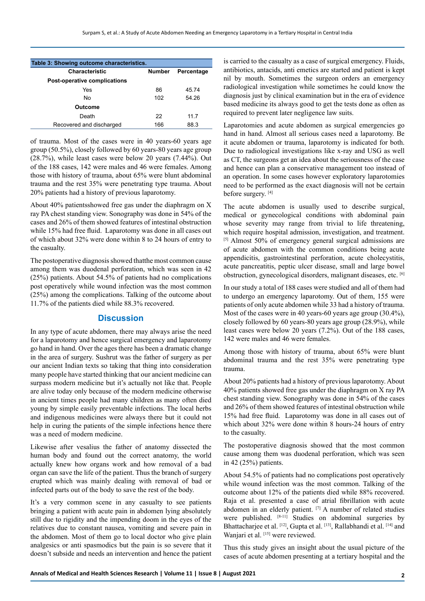| Table 3: Showing outcome characteristics. |        |            |  |
|-------------------------------------------|--------|------------|--|
| <b>Characteristic</b>                     | Number | Percentage |  |
| Post-operative complications              |        |            |  |
| Yes                                       | 86     | 4574       |  |
| No                                        | 102    | 54 26      |  |
| Outcome                                   |        |            |  |
| Death                                     | 22     | 117        |  |
| Recovered and discharged                  | 166    | 88.3       |  |

of trauma. Most of the cases were in 40 years-60 years age group (50.5%), closely followed by 60 years-80 years age group (28.7%), while least cases were below 20 years (7.44%). Out of the 188 cases, 142 were males and 46 were females. Among those with history of trauma, about 65% were blunt abdominal trauma and the rest 35% were penetrating type trauma. About 20% patients had a history of previous laparotomy.

About 40% patientsshowed free gas under the diaphragm on X ray PA chest standing view. Sonography was done in 54% of the cases and 26% of them showed features of intestinal obstruction while 15% had free fluid. Laparotomy was done in all cases out of which about 32% were done within 8 to 24 hours of entry to the casualty.

The postoperative diagnosis showed thatthe most common cause among them was duodenal perforation, which was seen in 42 (25%) patients. About 54.5% of patients had no complications post operatively while wound infection was the most common (25%) among the complications. Talking of the outcome about 11.7% of the patients died while 88.3% recovered.

#### **Discussion**

In any type of acute abdomen, there may always arise the need for a laparotomy and hence surgical emergency and laparotomy go hand in hand. Over the ages there has been a dramatic change in the area of surgery. Sushrut was the father of surgery as per our ancient Indian texts so taking that thing into consideration many people have started thinking that our ancient medicine can surpass modern medicine but it's actually not like that. People are alive today only because of the modern medicine otherwise in ancient times people had many children as many often died young by simple easily preventable infections. The local herbs and indigenous medicines were always there but it could not help in curing the patients of the simple infections hence there was a need of modern medicine.

Likewise after vesalius the father of anatomy dissected the human body and found out the correct anatomy, the world actually knew how organs work and how removal of a bad organ can save the life of the patient. Thus the branch of surgery erupted which was mainly dealing with removal of bad or infected parts out of the body to save the rest of the body.

It's a very common scene in any casualty to see patients bringing a patient with acute pain in abdomen lying absolutely still due to rigidity and the impending doom in the eyes of the relatives due to constant nausea, vomiting and severe pain in the abdomen. Most of them go to local doctor who give plain analgesics or anti spasmodics but the pain is so severe that it doesn't subside and needs an intervention and hence the patient is carried to the casualty as a case of surgical emergency. Fluids, antibiotics, antacids, anti emetics are started and patient is kept nil by mouth. Sometimes the surgeon orders an emergency radiological investigation while sometimes he could know the diagnosis just by clinical examination but in the era of evidence based medicine its always good to get the tests done as often as required to prevent later negligence law suits.

Laparotomies and acute abdomen as surgical emergencies go hand in hand. Almost all serious cases need a laparotomy. Be it acute abdomen or trauma, laparotomy is indicated for both. Due to radiological investigations like x-ray and USG as well as CT, the surgeons get an idea about the seriousness of the case and hence can plan a conservative management too instead of an operation. In some cases however exploratory laparotomies need to be performed as the exact diagnosis will not be certain before surgery. [4]

The acute abdomen is usually used to describe surgical, medical or gynecological conditions with abdominal pain whose severity may range from trivial to life threatening, which require hospital admission, investigation, and treatment. [5] Almost 50% of emergency general surgical admissions are of acute abdomen with the common conditions being acute appendicitis, gastrointestinal perforation, acute cholecystitis, acute pancreatitis, peptic ulcer disease, small and large bowel obstruction, gynecological disorders, malignant diseases, etc. [6]

In our study a total of 188 cases were studied and all of them had to undergo an emergency laparotomy. Out of them, 155 were patients of only acute abdomen while 33 had a history of trauma. Most of the cases were in 40 years-60 years age group (30.4%), closely followed by 60 years-80 years age group (28.9%), while least cases were below 20 years (7.2%). Out of the 188 cases, 142 were males and 46 were females.

Among those with history of trauma, about 65% were blunt abdominal trauma and the rest 35% were penetrating type trauma.

About 20% patients had a history of previous laparotomy. About 40% patients showed free gas under the diaphragm on X ray PA chest standing view. Sonography was done in 54% of the cases and 26% of them showed features of intestinal obstruction while 15% had free fluid. Laparotomy was done in all cases out of which about 32% were done within 8 hours-24 hours of entry to the casualty.

The postoperative diagnosis showed that the most common cause among them was duodenal perforation, which was seen in 42 (25%) patients.

About 54.5% of patients had no complications post operatively while wound infection was the most common. Talking of the outcome about 12% of the patients died while 88% recovered. Raja et al. presented a case of atrial fibrillation with acute abdomen in an elderly patient. <a>[7]</a> A number of related studies were published. [8-11] Studies on abdominal surgeries by Bhattacharjee et al. [12], Gupta et al. [13], Rallabhandi et al. [14] and Wanjari et al. [15] were reviewed.

Thus this study gives an insight about the usual picture of the cases of acute abdomen presenting at a tertiary hospital and the